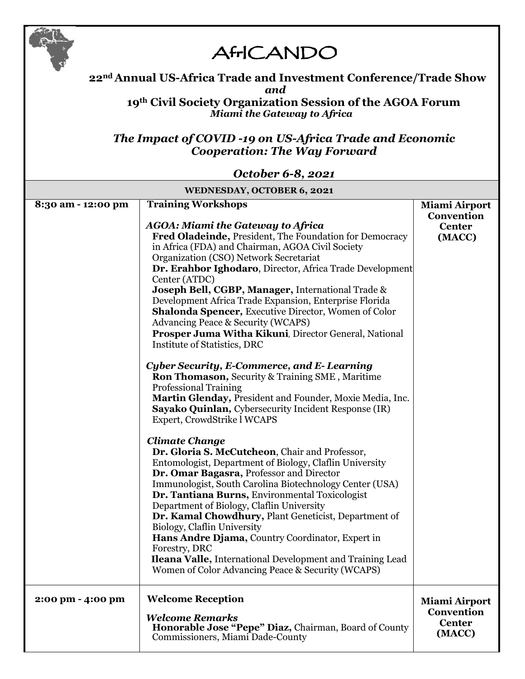

## **AfrICANDO**

### **22nd Annual US-Africa Trade and Investment Conference/Trade Show** *and*

**19th Civil Society Organization Session of the AGOA Forum** *Miami the Gateway to Africa*

### *The Impact of COVID -19 on US-Africa Trade and Economic Cooperation: The Way Forward*

#### *October 6-8, 2021*

| <b>WEDNESDAY, OCTOBER 6, 2021</b> |                                                                                                                                                                                                                                                                                                                                                                                                                                                                                                                                                                                                                                     |                                                               |  |  |
|-----------------------------------|-------------------------------------------------------------------------------------------------------------------------------------------------------------------------------------------------------------------------------------------------------------------------------------------------------------------------------------------------------------------------------------------------------------------------------------------------------------------------------------------------------------------------------------------------------------------------------------------------------------------------------------|---------------------------------------------------------------|--|--|
| 8:30 am - 12:00 pm                | <b>Training Workshops</b><br><b>AGOA: Miami the Gateway to Africa</b><br>Fred Oladeinde, President, The Foundation for Democracy<br>in Africa (FDA) and Chairman, AGOA Civil Society<br>Organization (CSO) Network Secretariat<br>Dr. Erahbor Ighodaro, Director, Africa Trade Development<br>Center (ATDC)<br>Joseph Bell, CGBP, Manager, International Trade &<br>Development Africa Trade Expansion, Enterprise Florida<br><b>Shalonda Spencer, Executive Director, Women of Color</b><br><b>Advancing Peace &amp; Security (WCAPS)</b><br>Prosper Juma Witha Kikuni, Director General, National<br>Institute of Statistics, DRC | <b>Miami Airport</b><br>Convention<br><b>Center</b><br>(MACC) |  |  |
|                                   | Cyber Security, E-Commerce, and E-Learning<br><b>Ron Thomason, Security &amp; Training SME, Maritime</b><br><b>Professional Training</b><br>Martin Glenday, President and Founder, Moxie Media, Inc.<br>Sayako Quinlan, Cybersecurity Incident Response (IR)<br>Expert, CrowdStrike l WCAPS<br><b>Climate Change</b>                                                                                                                                                                                                                                                                                                                |                                                               |  |  |
|                                   | Dr. Gloria S. McCutcheon, Chair and Professor,<br>Entomologist, Department of Biology, Claflin University<br>Dr. Omar Bagasra, Professor and Director<br>Immunologist, South Carolina Biotechnology Center (USA)<br>Dr. Tantiana Burns, Environmental Toxicologist<br>Department of Biology, Claflin University<br>Dr. Kamal Chowdhury, Plant Geneticist, Department of<br>Biology, Claflin University<br>Hans Andre Djama, Country Coordinator, Expert in<br>Forestry, DRC<br><b>Ileana Valle, International Development and Training Lead</b><br>Women of Color Advancing Peace & Security (WCAPS)                                |                                                               |  |  |
| 2:00 pm - 4:00 pm                 | <b>Welcome Reception</b><br><b>Welcome Remarks</b><br>Honorable Jose "Pepe" Diaz, Chairman, Board of County<br>Commissioners, Miami Dade-County                                                                                                                                                                                                                                                                                                                                                                                                                                                                                     | <b>Miami Airport</b><br>Convention<br><b>Center</b><br>(MACC) |  |  |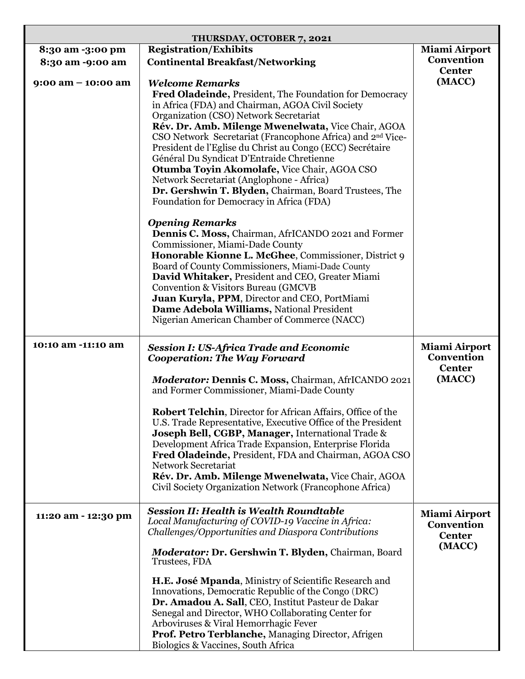| THURSDAY, OCTOBER 7, 2021 |                                                                                                                              |                                           |  |  |
|---------------------------|------------------------------------------------------------------------------------------------------------------------------|-------------------------------------------|--|--|
| 8:30 am -3:00 pm          | <b>Registration/Exhibits</b>                                                                                                 | Miami Airport                             |  |  |
| 8:30 am -9:00 am          | <b>Continental Breakfast/Networking</b>                                                                                      | Convention                                |  |  |
|                           |                                                                                                                              | <b>Center</b>                             |  |  |
| $9:00$ am $-10:00$ am     | <b>Welcome Remarks</b>                                                                                                       | (MACC)                                    |  |  |
|                           | Fred Oladeinde, President, The Foundation for Democracy                                                                      |                                           |  |  |
|                           | in Africa (FDA) and Chairman, AGOA Civil Society                                                                             |                                           |  |  |
|                           | Organization (CSO) Network Secretariat                                                                                       |                                           |  |  |
|                           | Rév. Dr. Amb. Milenge Mwenelwata, Vice Chair, AGOA                                                                           |                                           |  |  |
|                           | CSO Network Secretariat (Francophone Africa) and 2 <sup>nd</sup> Vice-                                                       |                                           |  |  |
|                           | President de l'Eglise du Christ au Congo (ECC) Secrétaire                                                                    |                                           |  |  |
|                           | Général Du Syndicat D'Entraide Chretienne                                                                                    |                                           |  |  |
|                           | Otumba Toyin Akomolafe, Vice Chair, AGOA CSO                                                                                 |                                           |  |  |
|                           | Network Secretariat (Anglophone - Africa)                                                                                    |                                           |  |  |
|                           | Dr. Gershwin T. Blyden, Chairman, Board Trustees, The                                                                        |                                           |  |  |
|                           | Foundation for Democracy in Africa (FDA)                                                                                     |                                           |  |  |
|                           |                                                                                                                              |                                           |  |  |
|                           | <b>Opening Remarks</b>                                                                                                       |                                           |  |  |
|                           | Dennis C. Moss, Chairman, AfrICANDO 2021 and Former                                                                          |                                           |  |  |
|                           | Commissioner, Miami-Dade County                                                                                              |                                           |  |  |
|                           | Honorable Kionne L. McGhee, Commissioner, District 9                                                                         |                                           |  |  |
|                           | Board of County Commissioners, Miami-Dade County                                                                             |                                           |  |  |
|                           | David Whitaker, President and CEO, Greater Miami                                                                             |                                           |  |  |
|                           | Convention & Visitors Bureau (GMCVB                                                                                          |                                           |  |  |
|                           | Juan Kuryla, PPM, Director and CEO, PortMiami                                                                                |                                           |  |  |
|                           | Dame Adebola Williams, National President                                                                                    |                                           |  |  |
|                           | Nigerian American Chamber of Commerce (NACC)                                                                                 |                                           |  |  |
| 10:10 am -11:10 am        |                                                                                                                              |                                           |  |  |
|                           |                                                                                                                              |                                           |  |  |
|                           | <b>Session I: US-Africa Trade and Economic</b><br><b>Cooperation: The Way Forward</b>                                        | <b>Miami Airport</b><br><b>Convention</b> |  |  |
|                           |                                                                                                                              | <b>Center</b>                             |  |  |
|                           | Moderator: Dennis C. Moss, Chairman, AfrICANDO 2021                                                                          | (MACC)                                    |  |  |
|                           | and Former Commissioner, Miami-Dade County                                                                                   |                                           |  |  |
|                           |                                                                                                                              |                                           |  |  |
|                           | Robert Telchin, Director for African Affairs, Office of the                                                                  |                                           |  |  |
|                           | U.S. Trade Representative, Executive Office of the President<br><b>Joseph Bell, CGBP, Manager, International Trade &amp;</b> |                                           |  |  |
|                           | Development Africa Trade Expansion, Enterprise Florida                                                                       |                                           |  |  |
|                           | Fred Oladeinde, President, FDA and Chairman, AGOA CSO                                                                        |                                           |  |  |
|                           | <b>Network Secretariat</b>                                                                                                   |                                           |  |  |
|                           | Rév. Dr. Amb. Milenge Mwenelwata, Vice Chair, AGOA                                                                           |                                           |  |  |
|                           | Civil Society Organization Network (Francophone Africa)                                                                      |                                           |  |  |
|                           |                                                                                                                              |                                           |  |  |
| 11:20 am - 12:30 pm       | <b>Session II: Health is Wealth Roundtable</b>                                                                               | <b>Miami Airport</b>                      |  |  |
|                           | Local Manufacturing of COVID-19 Vaccine in Africa:                                                                           | Convention                                |  |  |
|                           | Challenges/Opportunities and Diaspora Contributions                                                                          | <b>Center</b>                             |  |  |
|                           | <b>Moderator: Dr. Gershwin T. Blyden, Chairman, Board</b>                                                                    | (MACC)                                    |  |  |
|                           | Trustees, FDA                                                                                                                |                                           |  |  |
|                           | H.E. José Mpanda, Ministry of Scientific Research and                                                                        |                                           |  |  |
|                           | Innovations, Democratic Republic of the Congo (DRC)                                                                          |                                           |  |  |
|                           | Dr. Amadou A. Sall, CEO, Institut Pasteur de Dakar                                                                           |                                           |  |  |
|                           | Senegal and Director, WHO Collaborating Center for                                                                           |                                           |  |  |
|                           | Arboviruses & Viral Hemorrhagic Fever                                                                                        |                                           |  |  |
|                           | Prof. Petro Terblanche, Managing Director, Afrigen<br>Biologics & Vaccines, South Africa                                     |                                           |  |  |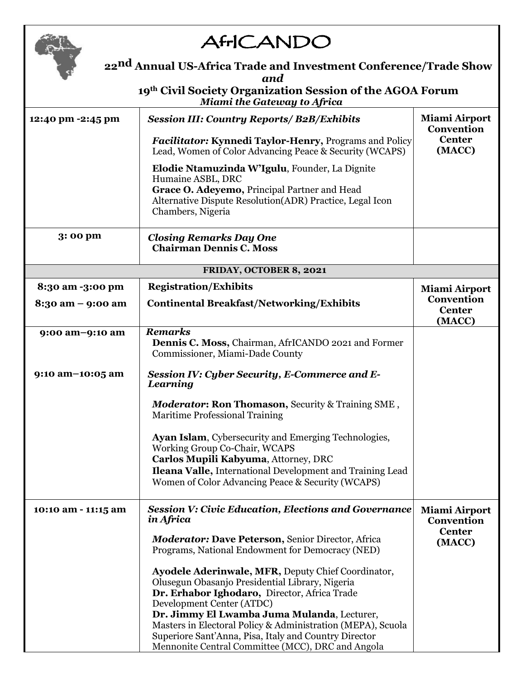

# **AfrICANDO**

| 22 <sup>nd</sup> Annual US-Africa Trade and Investment Conference/Trade Show<br>and<br>19th Civil Society Organization Session of the AGOA Forum<br>Miami the Gateway to Africa |                                                                                                                                                                                                                                                                                                                                                                                                                |                                           |  |  |
|---------------------------------------------------------------------------------------------------------------------------------------------------------------------------------|----------------------------------------------------------------------------------------------------------------------------------------------------------------------------------------------------------------------------------------------------------------------------------------------------------------------------------------------------------------------------------------------------------------|-------------------------------------------|--|--|
|                                                                                                                                                                                 |                                                                                                                                                                                                                                                                                                                                                                                                                |                                           |  |  |
|                                                                                                                                                                                 | Lead, Women of Color Advancing Peace & Security (WCAPS)                                                                                                                                                                                                                                                                                                                                                        | (MACC)                                    |  |  |
|                                                                                                                                                                                 | Elodie Ntamuzinda W'Igulu, Founder, La Dignite<br>Humaine ASBL, DRC<br>Grace O. Adeyemo, Principal Partner and Head<br>Alternative Dispute Resolution(ADR) Practice, Legal Icon<br>Chambers, Nigeria                                                                                                                                                                                                           |                                           |  |  |
| 3:00 pm                                                                                                                                                                         | <b>Closing Remarks Day One</b><br><b>Chairman Dennis C. Moss</b>                                                                                                                                                                                                                                                                                                                                               |                                           |  |  |
|                                                                                                                                                                                 | FRIDAY, OCTOBER 8, 2021                                                                                                                                                                                                                                                                                                                                                                                        |                                           |  |  |
| 8:30 am -3:00 pm                                                                                                                                                                | <b>Registration/Exhibits</b>                                                                                                                                                                                                                                                                                                                                                                                   | <b>Miami Airport</b>                      |  |  |
| 8:30 am - 9:00 am                                                                                                                                                               | <b>Continental Breakfast/Networking/Exhibits</b>                                                                                                                                                                                                                                                                                                                                                               | Convention<br><b>Center</b><br>(MACC)     |  |  |
| 9:00 am-9:10 am                                                                                                                                                                 | <b>Remarks</b><br><b>Dennis C. Moss, Chairman, AfrICANDO 2021 and Former</b><br>Commissioner, Miami-Dade County                                                                                                                                                                                                                                                                                                |                                           |  |  |
| 9:10 am-10:05 am                                                                                                                                                                | <b>Session IV: Cyber Security, E-Commerce and E-</b><br>Learning                                                                                                                                                                                                                                                                                                                                               |                                           |  |  |
|                                                                                                                                                                                 | <b>Moderator: Ron Thomason, Security &amp; Training SME,</b><br><b>Maritime Professional Training</b>                                                                                                                                                                                                                                                                                                          |                                           |  |  |
|                                                                                                                                                                                 | <b>Ayan Islam, Cybersecurity and Emerging Technologies,</b><br>Working Group Co-Chair, WCAPS<br>Carlos Mupili Kabyuma, Attorney, DRC<br>Ileana Valle, International Development and Training Lead<br>Women of Color Advancing Peace & Security (WCAPS)                                                                                                                                                         |                                           |  |  |
| 10:10 am - 11:15 am                                                                                                                                                             | <b>Session V: Civic Education, Elections and Governance</b><br>in Africa                                                                                                                                                                                                                                                                                                                                       | <b>Miami Airport</b><br><b>Convention</b> |  |  |
|                                                                                                                                                                                 | <b>Moderator: Dave Peterson, Senior Director, Africa</b><br>Programs, National Endowment for Democracy (NED)                                                                                                                                                                                                                                                                                                   | <b>Center</b><br>(MACC)                   |  |  |
|                                                                                                                                                                                 | Ayodele Aderinwale, MFR, Deputy Chief Coordinator,<br>Olusegun Obasanjo Presidential Library, Nigeria<br>Dr. Erhabor Ighodaro, Director, Africa Trade<br>Development Center (ATDC)<br>Dr. Jimmy El Lwamba Juma Mulanda, Lecturer,<br>Masters in Electoral Policy & Administration (MEPA), Scuola<br>Superiore Sant'Anna, Pisa, Italy and Country Director<br>Mennonite Central Committee (MCC), DRC and Angola |                                           |  |  |